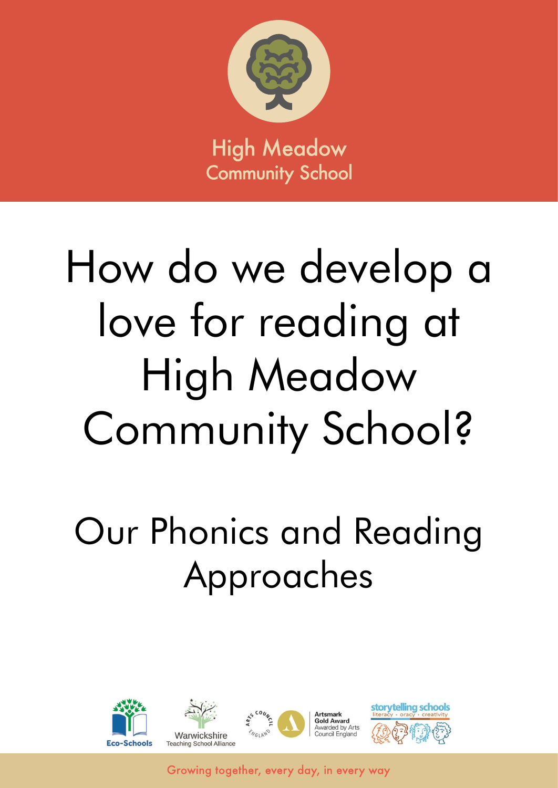

# How do we develop a love for reading at High Meadow Community School?

# Our Phonics and Reading Approaches

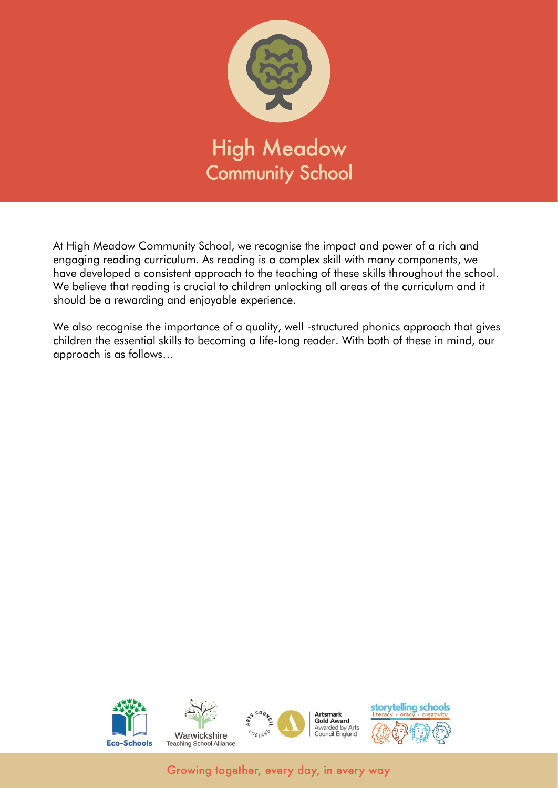

At High Meadow Community School, we recognise the impact and power of a rich and engaging reading curriculum. As reading is a complex skill with many components, we have developed a consistent approach to the teaching of these skills throughout the school. We believe that reading is crucial to children unlocking all areas of the curriculum and it should be a rewarding and enjoyable experience.

We also recognise the importance of a quality, well -structured phonics approach that gives children the essential skills to becoming a life-long reader. With both of these in mind, our approach is as follows…

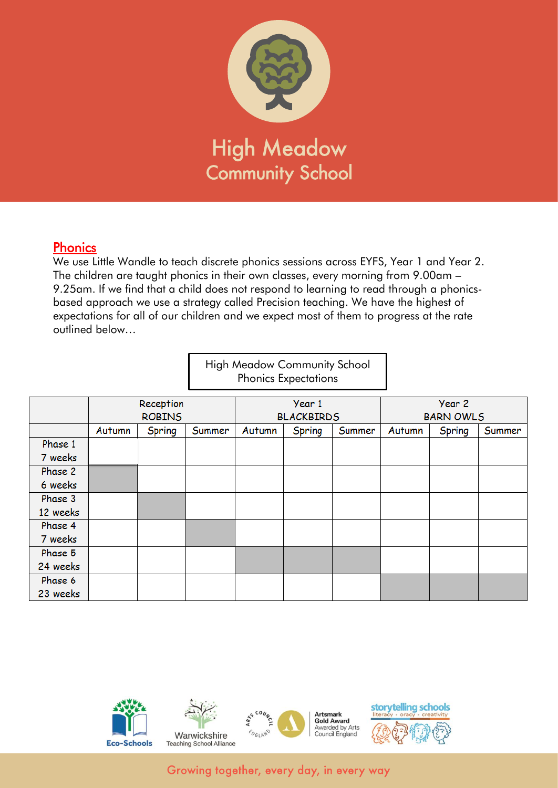

#### Phonics

We use Little Wandle to teach discrete phonics sessions across EYFS, Year 1 and Year 2. The children are taught phonics in their own classes, every morning from 9.00am – 9.25am. If we find that a child does not respond to learning to read through a phonicsbased approach we use a strategy called Precision teaching. We have the highest of expectations for all of our children and we expect most of them to progress at the rate outlined below…

|          |           |               |        |        | <b>High Meadow Community School</b><br><b>Phonics Expectations</b> |        |        |                  |        |
|----------|-----------|---------------|--------|--------|--------------------------------------------------------------------|--------|--------|------------------|--------|
|          | Reception |               |        | Year 1 |                                                                    |        | Year 2 |                  |        |
|          |           | <b>ROBINS</b> |        |        | <b>BLACKBIRDS</b>                                                  |        |        | <b>BARN OWLS</b> |        |
|          | Autumn    | Spring        | Summer | Autumn | Spring                                                             | Summer | Autumn | Spring           | Summer |
| Phase 1  |           |               |        |        |                                                                    |        |        |                  |        |
| 7 weeks  |           |               |        |        |                                                                    |        |        |                  |        |
| Phase 2  |           |               |        |        |                                                                    |        |        |                  |        |
| 6 weeks  |           |               |        |        |                                                                    |        |        |                  |        |
| Phase 3  |           |               |        |        |                                                                    |        |        |                  |        |
| 12 weeks |           |               |        |        |                                                                    |        |        |                  |        |
| Phase 4  |           |               |        |        |                                                                    |        |        |                  |        |
| 7 weeks  |           |               |        |        |                                                                    |        |        |                  |        |
| Phase 5  |           |               |        |        |                                                                    |        |        |                  |        |
| 24 weeks |           |               |        |        |                                                                    |        |        |                  |        |
| Phase 6  |           |               |        |        |                                                                    |        |        |                  |        |
| 23 weeks |           |               |        |        |                                                                    |        |        |                  |        |

٦

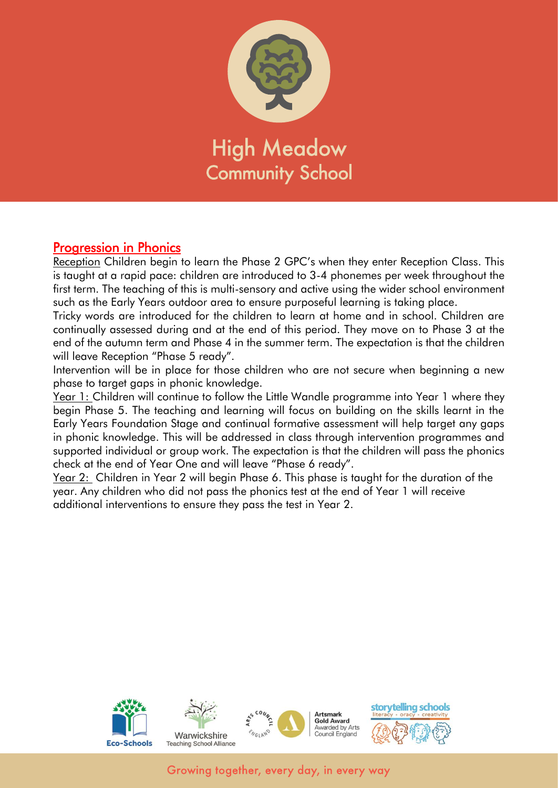

#### Progression in Phonics

Reception Children begin to learn the Phase 2 GPC's when they enter Reception Class. This is taught at a rapid pace: children are introduced to 3-4 phonemes per week throughout the first term. The teaching of this is multi-sensory and active using the wider school environment such as the Early Years outdoor area to ensure purposeful learning is taking place.

Tricky words are introduced for the children to learn at home and in school. Children are continually assessed during and at the end of this period. They move on to Phase 3 at the end of the autumn term and Phase 4 in the summer term. The expectation is that the children will leave Reception "Phase 5 ready".

Intervention will be in place for those children who are not secure when beginning a new phase to target gaps in phonic knowledge.

Year 1: Children will continue to follow the Little Wandle programme into Year 1 where they begin Phase 5. The teaching and learning will focus on building on the skills learnt in the Early Years Foundation Stage and continual formative assessment will help target any gaps in phonic knowledge. This will be addressed in class through intervention programmes and supported individual or group work. The expectation is that the children will pass the phonics check at the end of Year One and will leave "Phase 6 ready".

Year 2: Children in Year 2 will begin Phase 6. This phase is taught for the duration of the year. Any children who did not pass the phonics test at the end of Year 1 will receive additional interventions to ensure they pass the test in Year 2.

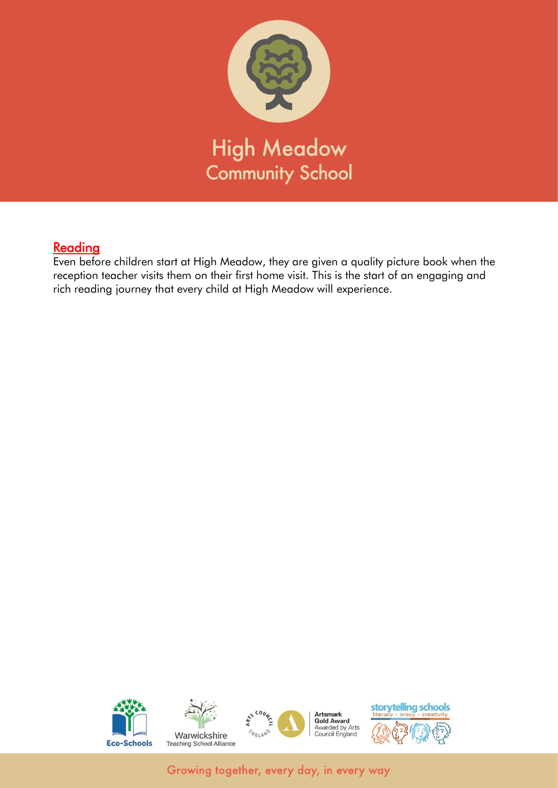

## Reading

Even before children start at High Meadow, they are given a quality picture book when the reception teacher visits them on their first home visit. This is the start of an engaging and rich reading journey that every child at High Meadow will experience.

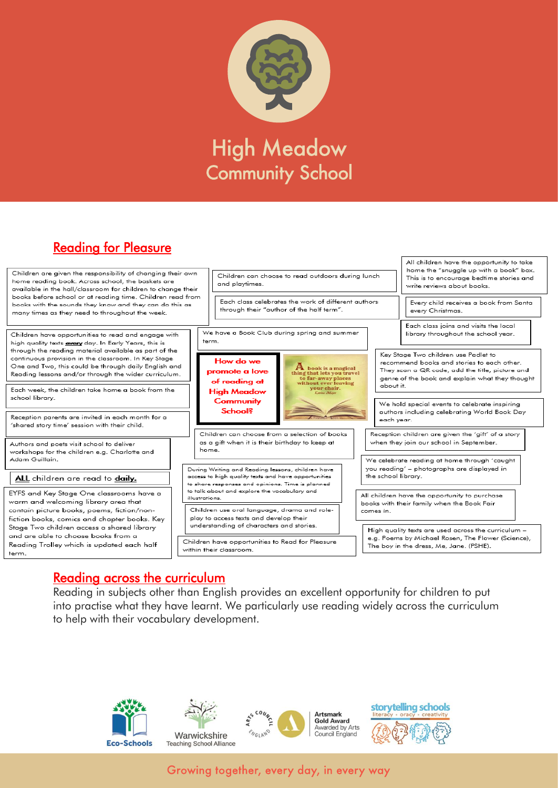

# Reading for Pleasure



# Reading across the curriculum

Reading in subjects other than English provides an excellent opportunity for children to put into practise what they have learnt. We particularly use reading widely across the curriculum to help with their vocabulary development.

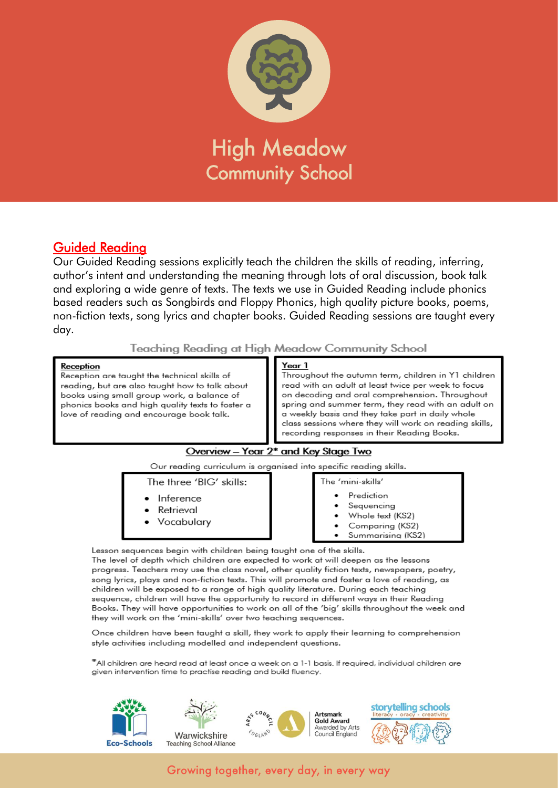

### Guided Reading

Our Guided Reading sessions explicitly teach the children the skills of reading, inferring, author's intent and understanding the meaning through lots of oral discussion, book talk and exploring a wide genre of texts. The texts we use in Guided Reading include phonics based readers such as Songbirds and Floppy Phonics, high quality picture books, poems, non-fiction texts, song lyrics and chapter books. Guided Reading sessions are taught every day.

#### Teaching Reading at High Meadow Community School

#### Reception

Reception are taught the technical skills of reading, but are also taught how to talk about books using small group work, a balance of phonics books and high quality texts to foster a love of reading and encourage book talk.

#### Year 1

Throughout the autumn term, children in Y1 children read with an adult at least twice per week to focus on decoding and oral comprehension. Throughout spring and summer term, they read with an adult on a weekly basis and they take part in daily whole class sessions where they will work on reading skills, recording responses in their Reading Books.

#### Overview - Year 2\* and Key Stage Two

Our reading curriculum is organised into specific reading skills.

The three 'BIG' skills:

- Inference
- Retrieval
- Vocabularv
- The 'mini-skills' Prediction
- Sequencing
- Whole text (KS2)
- Comparina (KS2)
- Summarising (KS2)

Lesson sequences begin with children being taught one of the skills.

The level of depth which children are expected to work at will deepen as the lessons progress. Teachers may use the class novel, other quality fiction texts, newspapers, poetry, song lyrics, plays and non-fiction texts. This will promote and foster a love of reading, as children will be exposed to a range of high quality literature. During each teaching sequence, children will have the opportunity to record in different ways in their Reading Books. They will have opportunities to work on all of the 'big' skills throughout the week and they will work on the 'mini-skills' over two teaching sequences.

Once children have been taught a skill, they work to apply their learning to comprehension style activities including modelled and independent questions.

\*All children are heard read at least once a week on a 1-1 basis. If required, individual children are given intervention time to practise reading and build fluency.

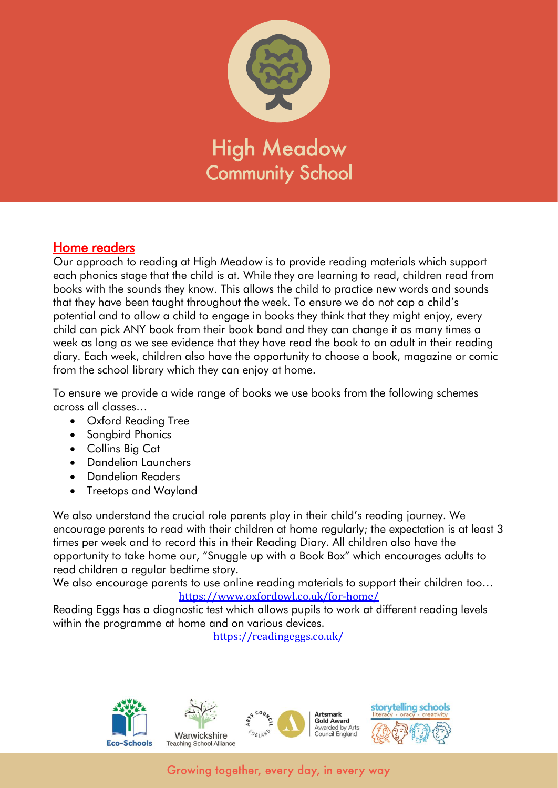

#### Home readers

Our approach to reading at High Meadow is to provide reading materials which support each phonics stage that the child is at. While they are learning to read, children read from books with the sounds they know. This allows the child to practice new words and sounds that they have been taught throughout the week. To ensure we do not cap a child's potential and to allow a child to engage in books they think that they might enjoy, every child can pick ANY book from their book band and they can change it as many times a week as long as we see evidence that they have read the book to an adult in their reading diary. Each week, children also have the opportunity to choose a book, magazine or comic from the school library which they can enjoy at home.

To ensure we provide a wide range of books we use books from the following schemes across all classes…

- Oxford Reading Tree
- Songbird Phonics
- Collins Big Cat
- Dandelion Launchers
- Dandelion Readers
- Treetops and Wayland

We also understand the crucial role parents play in their child's reading journey. We encourage parents to read with their children at home regularly; the expectation is at least 3 times per week and to record this in their Reading Diary. All children also have the opportunity to take home our, "Snuggle up with a Book Box" which encourages adults to read children a regular bedtime story.

We also encourage parents to use online reading materials to support their children too... <https://www.oxfordowl.co.uk/for-home/>

Reading Eggs has a diagnostic test which allows pupils to work at different reading levels within the programme at home and on various devices.

<https://readingeggs.co.uk/>